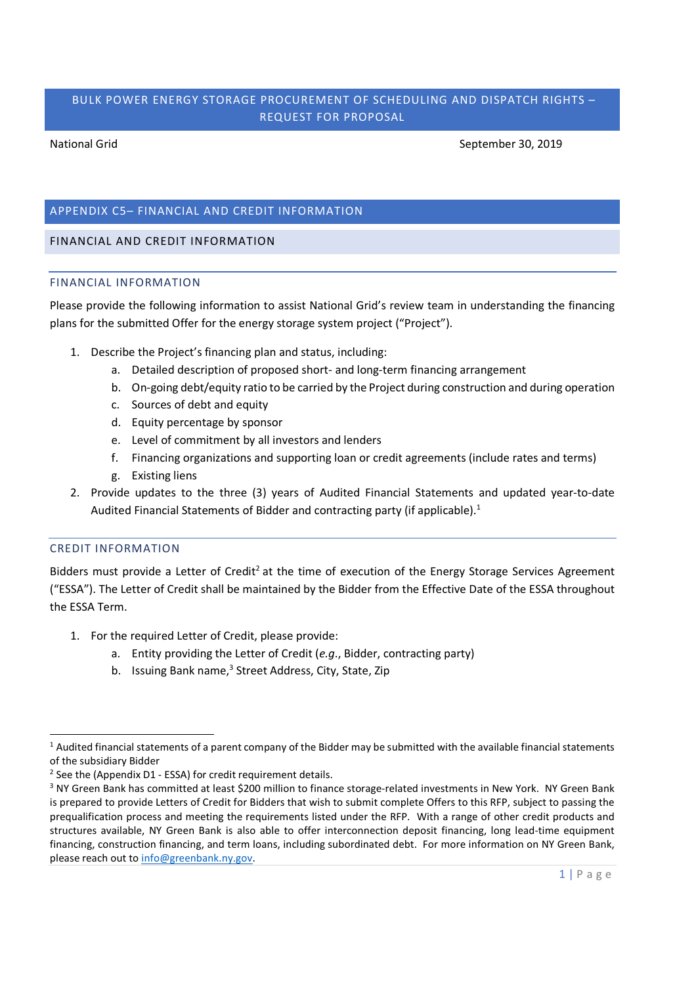# BULK POWER ENERGY STORAGE PROCUREMENT OF SCHEDULING AND DISPATCH RIGHTS – REQUEST FOR PROPOSAL

National Grid September 30, 2019

# APPENDIX C5– FINANCIAL AND CREDIT INFORMATION

## FINANCIAL AND CREDIT INFORMATION

### FINANCIAL INFORMATION

Please provide the following information to assist National Grid's review team in understanding the financing plans for the submitted Offer for the energy storage system project ("Project").

- 1. Describe the Project's financing plan and status, including:
	- a. Detailed description of proposed short- and long-term financing arrangement
	- b. On-going debt/equity ratio to be carried by the Project during construction and during operation
	- c. Sources of debt and equity
	- d. Equity percentage by sponsor
	- e. Level of commitment by all investors and lenders
	- f. Financing organizations and supporting loan or credit agreements (include rates and terms)
	- g. Existing liens
- 2. Provide updates to the three (3) years of Audited Financial Statements and updated year-to-date Audited Financial Statements of Bidder and contracting party (if applicable).<sup>1</sup>

## CREDIT INFORMATION

Bidders must provide a Letter of Credit<sup>2</sup> at the time of execution of the Energy Storage Services Agreement ("ESSA"). The Letter of Credit shall be maintained by the Bidder from the Effective Date of the ESSA throughout the ESSA Term.

- 1. For the required Letter of Credit, please provide:
	- a. Entity providing the Letter of Credit (*e.g*., Bidder, contracting party)
	- b. Issuing Bank name,<sup>3</sup> Street Address, City, State, Zip

<sup>&</sup>lt;sup>1</sup> Audited financial statements of a parent company of the Bidder may be submitted with the available financial statements of the subsidiary Bidder

<sup>&</sup>lt;sup>2</sup> See the (Appendix D1 - ESSA) for credit requirement details.

<sup>&</sup>lt;sup>3</sup> NY Green Bank has committed at least \$200 million to finance storage-related investments in New York. NY Green Bank is prepared to provide Letters of Credit for Bidders that wish to submit complete Offers to this RFP, subject to passing the prequalification process and meeting the requirements listed under the RFP. With a range of other credit products and structures available, NY Green Bank is also able to offer interconnection deposit financing, long lead-time equipment financing, construction financing, and term loans, including subordinated debt. For more information on NY Green Bank, please reach out to info@greenbank.ny.gov.